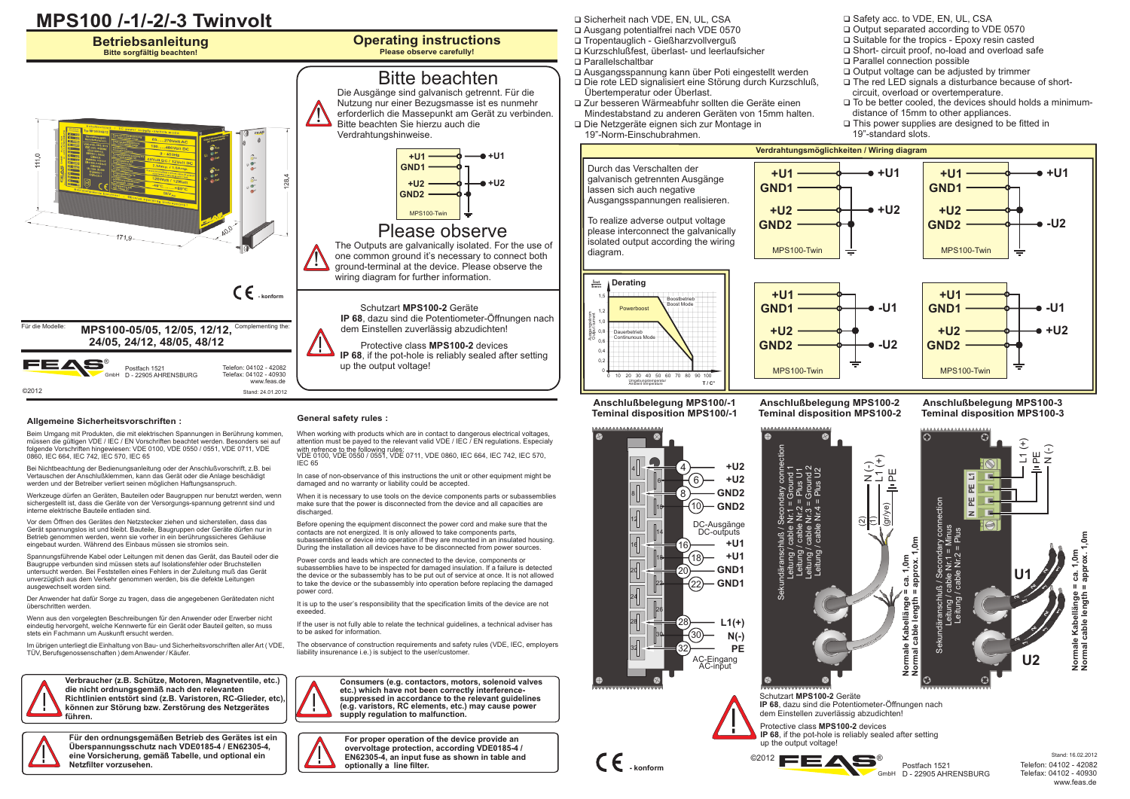

# **Allgemeine Sicherheitsvorschriften : General safety rules :**

Beim Umgang mit Produkten, die mit elektrischen Spannungen in Berührung kommen, müssen die gültigen VDE / IEC / EN Vorschriften beachtet werden. Besonders sei auf folgende Vorschriften hingewiesen: VDE 0100, VDE 0550 / 0551, VDE 0711, VDE 0860, IEC 664, IEC 742, IEC 570, IEC 65

Bei Nichtbeachtung der Bedienungsanleitung oder der Anschlußvorschrift, z.B. bei Vertauschen der Anschlußklemmen, kann das Gerät oder die Anlage beschädigt werden und der Betreiber verliert seinen möglichen Haftungsanspruch.

Werkzeuge dürfen an Geräten, Bauteilen oder Baugruppen nur benutzt werden, wenn sichergestellt ist, dass die Geräte von der Versorgungs-spannung getrennt sind und interne elektrische Bauteile entladen sind.

Vor dem Öffnen des Gerätes den Netzstecker ziehen und sicherstellen, dass das Gerät spannungslos ist und bleibt. Bauteile, Baugruppen oder Geräte dürfen nur in Betrieb genommen werden, wenn sie vorher in ein berührungssicheres Gehäuse eingebaut wurden. Während des Einbaus müssen sie stromlos sein.

Spannungsführende Kabel oder Leitungen mit denen das Gerät, das Bauteil oder die Baugruppe verbunden sind müssen stets auf Isolationsfehler oder Bruchstellen untersucht werden. Bei Feststellen eines Fehlers in der Zuleitung muß das Gerät unverzüglich aus dem Verkehr genommen werden, bis die defekte Leitungen ausgewechselt worden sind.

Der Anwender hat dafür Sorge zu tragen, dass die angegebenen Gerätedaten nicht überschritten werden.

Wenn aus den vorgelegten Beschreibungen für den Anwender oder Erwerber nicht eindeutig hervorgeht, welche Kennwerte für ein Gerät oder Bauteil gelten, so muss stets ein Fachmann um Auskunft ersucht werden.

Im übrigen unterliegt die Einhaltung von Bau- und Sicherheitsvorschriften aller Art ( VDE, TÜV, Berufsgenossenschaften ) dem Anwender / Käufer.



**Verbraucher (z.B. Schütze, Motoren, Magnetventile, etc.) die nicht ordnungsgemäß nach den relevanten Richtlinien entstört sind (z.B. Varistoren, RC-Glieder, etc), können zur Störung bzw. Zerstörung des Netzgerätes führen.**



**Für den ordnungsgemäßen Betrieb des Gerätes ist ein Überspannungsschutz nach VDE0185-4 / EN62305-4, eine Vorsicherung, gemäß Tabelle, und optional ein Netzfilter vorzusehen.**

When working with products which are in contact to dangerous electrical voltages, attention must be payed to the relevant valid VDE / IEC / EN regulations. Especialy with refrence to the following rules: VDE 0100, VDE 0550 / 0551, VDE 0711, VDE 0860, IEC 664, IEC 742, IEC 570, IEC 65

In case of non-observance of this instructions the unit or other equipment might be damaged and no warranty or liability could be accepted.

When it is necessary to use tools on the device components parts or subassemblies make sure that the power is disconnected from the device and all capacities are discharged

Before opening the equipment disconnect the power cord and make sure that the contacts are not energized. It is only allowed to take components parts, subassemblies or device into operation if they are mounted in an insulated housing. During the installation all devices have to be disconnected from power sources.

Power cords and leads which are connected to the device, components or subassemblies have to be inspected for damaged insulation. If a failure is detected the device or the subassembly has to be put out of service at once. It is not allowed to take the device or the subassembly into operation before replacing the damaged power cord.

It is up to the user's responsibility that the specification limits of the device are not exeeded.

If the user is not fully able to relate the technical guidelines, a technical adviser has to be asked for information.

The observance of construction requirements and safety rules (VDE, IEC, employers liability insurenance i.e.) is subject to the user/customer.

**Consumers (e.g. contactors, motors, solenoid valves etc.) which have not been correctly interferencesuppressed in accordance to the relevant guidelines (e.g. varistors, RC elements, etc.) may cause power supply regulation to malfunction.**

**For proper operation of the device provide an overvoltage protection, according VDE0185-4 / EN62305-4, an input fuse as shown in table and optionally a line filter.**

**Q** Sicherheit nach VDE, EN, UL, CSA<br> **Q** Ausgang potentialfrei nach VDE 0570

- □ Tropentauglich Gießharzvollverguß
- ם Tropentauglich Gießharzvollverguß<br>◘ Kurzschlußfest, überlast- und leerlaufsicher<br>◘ Parallelschaltbar
	-
- **Q Parallelschaltbar**<br>**Q Ausgangsspannung kann über Poti eingestellt werden**
- q Ausgangsspannung kann über Poti eingestellt werden Die rote LED signalisiert eine Störung durch Kurzschluß,
- qÜbertemperatur oder Überlast. Zur besseren Wärmeabfuhr sollten die Geräte einen
- qMindestabstand zu anderen Geräten von 15mm halten. Die Netzgeräte eignen sich zur Montage in
- 19"-Norm-Einschubrahmen.



- 
- $\Box$  Suitable for the tropics Epoxy resin casted ם Suitable for the tropics - Epoxy resin casted<br>ם Short- circuit proof, no-load and overload safe<br>ם Parallel connection possible
- 
- $\square$  Parallel connection possible<br> $\square$  Output voltage can be adjusted by trimmer
- 
- q Output voltage can be adjusted by trimmer The red LED signals a disturbance because of short-
- circuit, overload or overtemperature.<br>□ To be better cooled, the devices should holds a minimum-
- distance of 15mm to other appliances.<br>□ This power supplies are designed to be fitted in
- 19"-standard slots.



**Anschlußbelegung MPS100-2 Teminal disposition MPS100-2**

## **Anschlußbelegung MPS100-3 Teminal disposition MPS100-3**

L1 (+) PE  $\frac{\widehat{}}{z}$ 

**U2**



**Anschlußbelegung MPS100/-1 Teminal disposition MPS100/-1**

0,4 0,2 0

0,6 1,0

0,8 1,2 1,5

Ausgangsstrom Output current

**Iout Inenn**

Sekundäranschluß / Secondary connection L1 (+) N (-) Leitung / cable Nr.3 = Ground 2 Leitung / cable Nr.1 = Ground 1 PE Leitung / cable Nr.4 = Plus U2 Leitung / cable Nr.2 = Plus U1 ゠゚ヮ゙ヸ  $\sum_{i=1}^{\infty}$ ତ୍ରାି **Normale Kabellänge <sup>≧</sup> ca. 1,0m**<br>Normal cable length = approx. 1,0m **Normal cable length = approx. 1,0m** ים את היים<br>פוס פון פון **Kabellänge = ca. 1,0m** dära<br>Leitu<br>Leitu<br>Leitu Sekundäranschluß /



**Normale Normal cable length = approx. 1,0m Kabellänge = ca. 1,0m**

**IP 68**, dazu sind die Potentiometer-Öffnungen nach dem Einstellen zuverlässig abzudichten! Protective class **MPS100-2** devices Schutzart **MPS100-2** Geräte

Postfach 1521

**IP 68**, if the pot-hole is reliably sealed after setting up the output voltage!



 $\overline{6}$ 

Telefon: 04102 - 42082 Telefax: 04102 - 40930 www.feas.de Stand: 16.02.2012